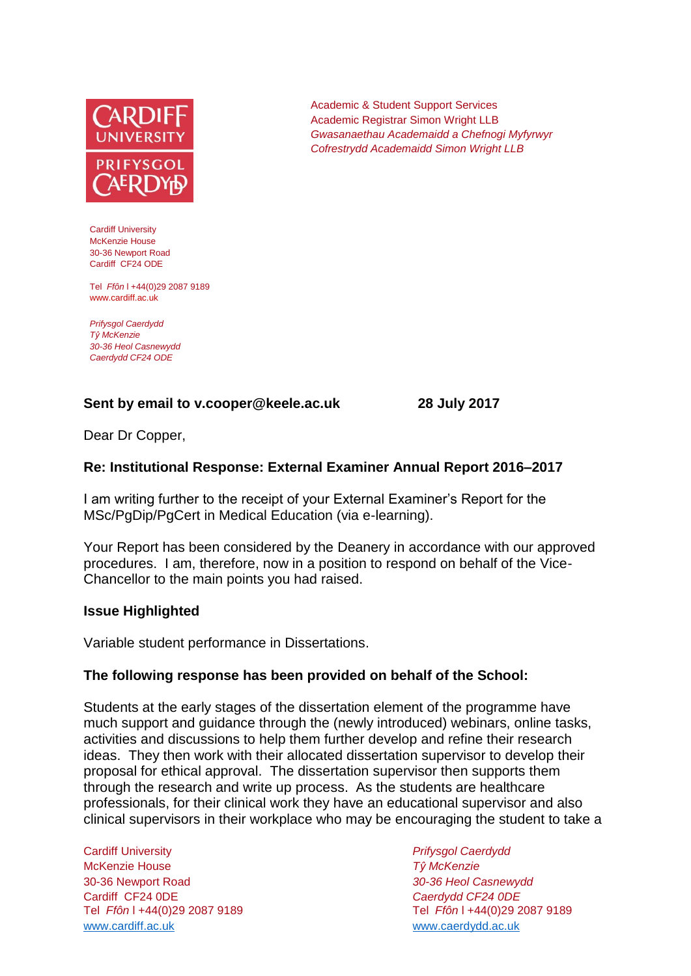

Cardiff University McKenzie House 30-36 Newport Road Cardiff CF24 ODE

Tel *Ffôn* l +44(0)29 2087 9189 www.cardiff.ac.uk

*Prifysgol Caerdydd Tŷ McKenzie 30-36 Heol Casnewydd Caerdydd CF24 ODE*

## **Sent by email to v.cooper@keele.ac.uk 28 July 2017**

Academic & Student Support Services Academic Registrar Simon Wright LLB *Gwasanaethau Academaidd a Chefnogi Myfyrwyr Cofrestrydd Academaidd Simon Wright LLB*

Dear Dr Copper,

### **Re: Institutional Response: External Examiner Annual Report 2016–2017**

I am writing further to the receipt of your External Examiner's Report for the MSc/PgDip/PgCert in Medical Education (via e-learning).

Your Report has been considered by the Deanery in accordance with our approved procedures. I am, therefore, now in a position to respond on behalf of the Vice-Chancellor to the main points you had raised.

#### **Issue Highlighted**

Variable student performance in Dissertations.

#### **The following response has been provided on behalf of the School:**

Students at the early stages of the dissertation element of the programme have much support and guidance through the (newly introduced) webinars, online tasks, activities and discussions to help them further develop and refine their research ideas. They then work with their allocated dissertation supervisor to develop their proposal for ethical approval. The dissertation supervisor then supports them through the research and write up process. As the students are healthcare professionals, for their clinical work they have an educational supervisor and also clinical supervisors in their workplace who may be encouraging the student to take a

Cardiff University *Prifysgol Caerdydd* McKenzie House *Tŷ McKenzie* 30-36 Newport Road *30-36 Heol Casnewydd* Cardiff CF24 0DE *Caerdydd CF24 0DE* [www.cardiff.ac.uk](http://www.cardiff.ac.uk/) www.cardiff.ac.uk

Tel *Ffôn* l +44(0)29 2087 9189 Tel *Ffôn* l +44(0)29 2087 9189